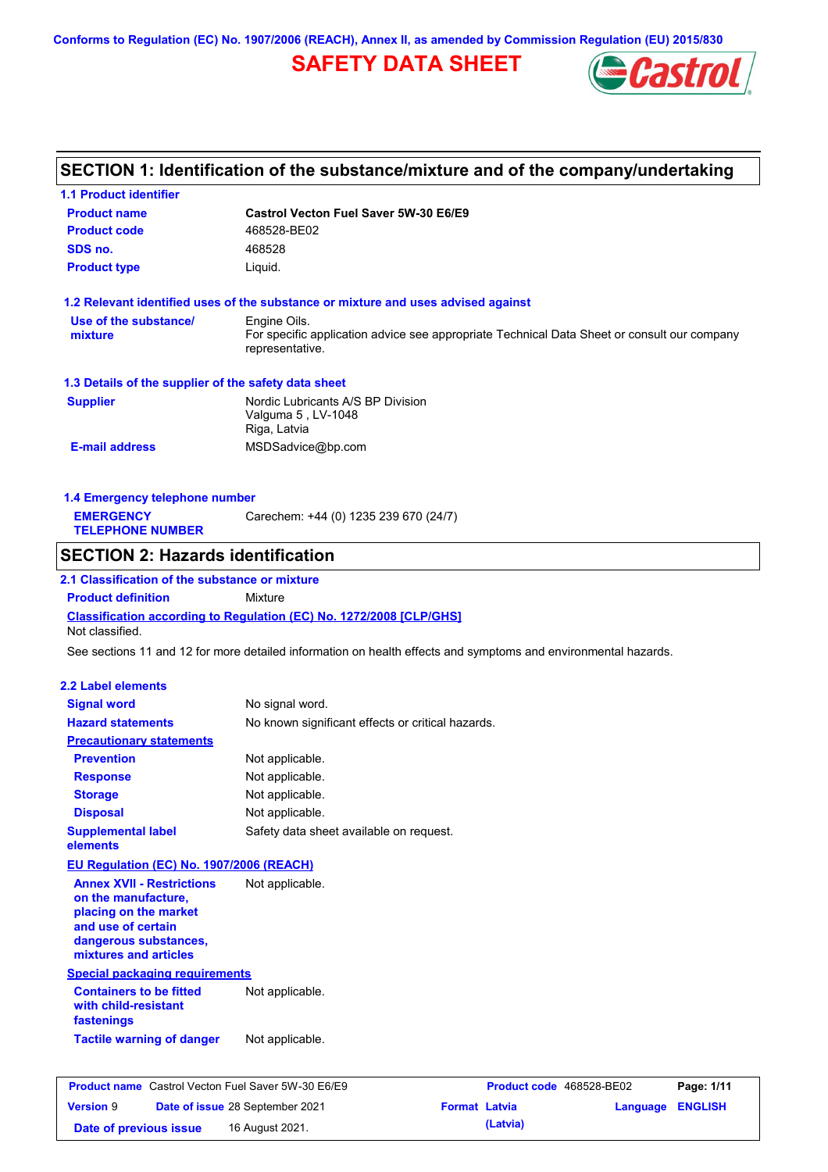**Conforms to Regulation (EC) No. 1907/2006 (REACH), Annex II, as amended by Commission Regulation (EU) 2015/830**

# **SAFETY DATA SHEET**



## **SECTION 1: Identification of the substance/mixture and of the company/undertaking**

| <b>1.1 Product identifier</b>                                        |                                                                                   |                                                                                                                |
|----------------------------------------------------------------------|-----------------------------------------------------------------------------------|----------------------------------------------------------------------------------------------------------------|
| <b>Product name</b>                                                  | <b>Castrol Vecton Fuel Saver 5W-30 E6/E9</b>                                      |                                                                                                                |
| <b>Product code</b>                                                  | 468528-BE02                                                                       |                                                                                                                |
| SDS no.                                                              | 468528                                                                            |                                                                                                                |
| <b>Product type</b>                                                  | Liquid.                                                                           |                                                                                                                |
|                                                                      | 1.2 Relevant identified uses of the substance or mixture and uses advised against |                                                                                                                |
| Use of the substance/                                                | Engine Oils.                                                                      |                                                                                                                |
| mixture                                                              | representative.                                                                   | For specific application advice see appropriate Technical Data Sheet or consult our company                    |
| 1.3 Details of the supplier of the safety data sheet                 |                                                                                   |                                                                                                                |
| <b>Supplier</b>                                                      | Nordic Lubricants A/S BP Division                                                 |                                                                                                                |
|                                                                      | Valguma 5, LV-1048                                                                |                                                                                                                |
|                                                                      | Riga, Latvia                                                                      |                                                                                                                |
| <b>E-mail address</b>                                                | MSDSadvice@bp.com                                                                 |                                                                                                                |
| 1.4 Emergency telephone number                                       |                                                                                   |                                                                                                                |
| <b>EMERGENCY</b>                                                     | Carechem: +44 (0) 1235 239 670 (24/7)                                             |                                                                                                                |
| <b>TELEPHONE NUMBER</b>                                              |                                                                                   |                                                                                                                |
| <b>SECTION 2: Hazards identification</b>                             |                                                                                   |                                                                                                                |
| 2.1 Classification of the substance or mixture                       |                                                                                   |                                                                                                                |
| <b>Product definition</b>                                            | Mixture                                                                           |                                                                                                                |
| Not classified.                                                      | Classification according to Regulation (EC) No. 1272/2008 [CLP/GHS]               |                                                                                                                |
|                                                                      |                                                                                   | See sections 11 and 12 for more detailed information on health effects and symptoms and environmental hazards. |
|                                                                      |                                                                                   |                                                                                                                |
| <b>2.2 Label elements</b>                                            |                                                                                   |                                                                                                                |
| <b>Signal word</b>                                                   | No signal word.                                                                   |                                                                                                                |
| <b>Hazard statements</b>                                             | No known significant effects or critical hazards.                                 |                                                                                                                |
| <b>Precautionary statements</b>                                      |                                                                                   |                                                                                                                |
| <b>Prevention</b>                                                    | Not applicable.                                                                   |                                                                                                                |
| <b>Response</b>                                                      | Not applicable.                                                                   |                                                                                                                |
| <b>Storage</b>                                                       | Not applicable.                                                                   |                                                                                                                |
| <b>Disposal</b>                                                      | Not applicable.                                                                   |                                                                                                                |
| <b>Supplemental label</b><br>elements                                | Safety data sheet available on request.                                           |                                                                                                                |
| EU Regulation (EC) No. 1907/2006 (REACH)                             |                                                                                   |                                                                                                                |
| <b>Annex XVII - Restrictions</b>                                     | Not applicable.                                                                   |                                                                                                                |
| on the manufacture,                                                  |                                                                                   |                                                                                                                |
| placing on the market                                                |                                                                                   |                                                                                                                |
| and use of certain                                                   |                                                                                   |                                                                                                                |
| dangerous substances,                                                |                                                                                   |                                                                                                                |
| mixtures and articles                                                |                                                                                   |                                                                                                                |
| <b>Special packaging requirements</b>                                |                                                                                   |                                                                                                                |
| <b>Containers to be fitted</b><br>with child-resistant<br>fastenings | Not applicable.                                                                   |                                                                                                                |
| <b>Tactile warning of danger</b>                                     | Not applicable.                                                                   |                                                                                                                |
|                                                                      |                                                                                   |                                                                                                                |
| <b>Product name</b> Castrol Vecton Fuel Saver 5W-30 E6/E9            |                                                                                   | Product code 468528-BE02<br>Page: 1/11                                                                         |
| <b>Version 9</b>                                                     | Date of issue 28 September 2021                                                   | <b>Format Latvia</b><br>Language ENGLISH                                                                       |

**Date of previous issue 16 August 2021. (Latvia) (Latvia)**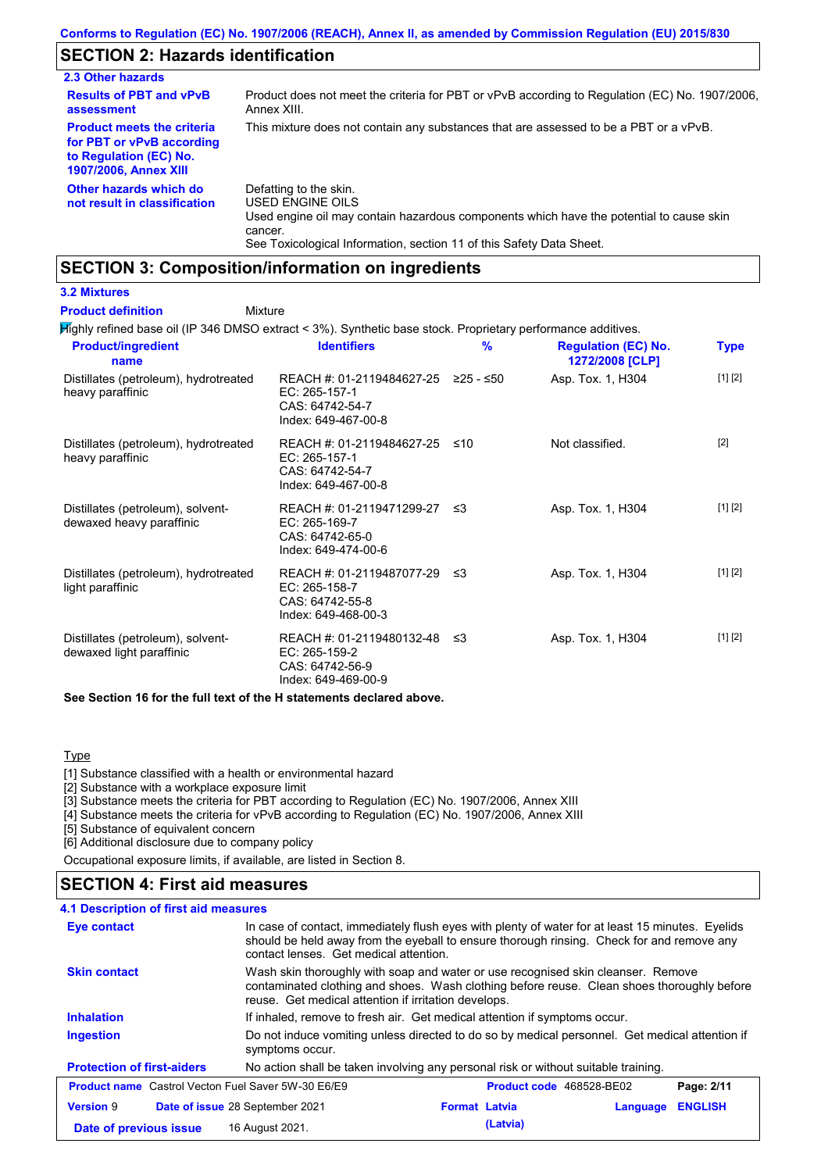## **SECTION 2: Hazards identification**

| 2.3 Other hazards                                                                                                        |                                                                                                                                                                                                                          |
|--------------------------------------------------------------------------------------------------------------------------|--------------------------------------------------------------------------------------------------------------------------------------------------------------------------------------------------------------------------|
| <b>Results of PBT and vPvB</b><br>assessment                                                                             | Product does not meet the criteria for PBT or vPvB according to Regulation (EC) No. 1907/2006.<br>Annex XIII.                                                                                                            |
| <b>Product meets the criteria</b><br>for PBT or vPvB according<br>to Regulation (EC) No.<br><b>1907/2006, Annex XIII</b> | This mixture does not contain any substances that are assessed to be a PBT or a vPvB.                                                                                                                                    |
| Other hazards which do<br>not result in classification                                                                   | Defatting to the skin.<br>USED ENGINE OILS<br>Used engine oil may contain hazardous components which have the potential to cause skin<br>cancer.<br>See Toxicological Information, section 11 of this Safety Data Sheet. |

## **SECTION 3: Composition/information on ingredients**

### **3.2 Mixtures**

#### Mixture **Product definition**

Highly refined base oil (IP 346 DMSO extract < 3%). Synthetic base stock. Proprietary performance additives.

| <b>Product/ingredient</b><br>name                             | <b>Identifiers</b>                                                                      | $\frac{9}{6}$ | <b>Regulation (EC) No.</b><br>1272/2008 [CLP] | Type    |
|---------------------------------------------------------------|-----------------------------------------------------------------------------------------|---------------|-----------------------------------------------|---------|
| Distillates (petroleum), hydrotreated<br>heavy paraffinic     | REACH #: 01-2119484627-25<br>EC: 265-157-1<br>CAS: 64742-54-7<br>Index: 649-467-00-8    | $≥25 - ≤50$   | Asp. Tox. 1, H304                             | [1] [2] |
| Distillates (petroleum), hydrotreated<br>heavy paraffinic     | REACH #: 01-2119484627-25<br>EC: 265-157-1<br>CAS: 64742-54-7<br>Index: 649-467-00-8    | ≤10           | Not classified.                               | $[2]$   |
| Distillates (petroleum), solvent-<br>dewaxed heavy paraffinic | REACH #: 01-2119471299-27 ≤3<br>EC: 265-169-7<br>CAS: 64742-65-0<br>Index: 649-474-00-6 |               | Asp. Tox. 1, H304                             | [1] [2] |
| Distillates (petroleum), hydrotreated<br>light paraffinic     | REACH #: 01-2119487077-29 ≤3<br>EC: 265-158-7<br>CAS: 64742-55-8<br>Index: 649-468-00-3 |               | Asp. Tox. 1, H304                             | [1] [2] |
| Distillates (petroleum), solvent-<br>dewaxed light paraffinic | REACH #: 01-2119480132-48<br>EC: 265-159-2<br>CAS: 64742-56-9<br>Index: 649-469-00-9    | -≤3           | Asp. Tox. 1, H304                             | [1] [2] |
|                                                               |                                                                                         |               |                                               |         |

**See Section 16 for the full text of the H statements declared above.**

### **Type**

[1] Substance classified with a health or environmental hazard

[2] Substance with a workplace exposure limit

[3] Substance meets the criteria for PBT according to Regulation (EC) No. 1907/2006, Annex XIII

[4] Substance meets the criteria for vPvB according to Regulation (EC) No. 1907/2006, Annex XIII

[5] Substance of equivalent concern

[6] Additional disclosure due to company policy

Occupational exposure limits, if available, are listed in Section 8.

## **SECTION 4: First aid measures**

### **4.1 Description of first aid measures**

| Eye contact                                                                                                                                                                                                                                                   | In case of contact, immediately flush eyes with plenty of water for at least 15 minutes. Eyelids<br>should be held away from the eyeball to ensure thorough rinsing. Check for and remove any<br>contact lenses. Get medical attention. |                                  |                |  |  |
|---------------------------------------------------------------------------------------------------------------------------------------------------------------------------------------------------------------------------------------------------------------|-----------------------------------------------------------------------------------------------------------------------------------------------------------------------------------------------------------------------------------------|----------------------------------|----------------|--|--|
| <b>Skin contact</b><br>Wash skin thoroughly with soap and water or use recognised skin cleanser. Remove<br>contaminated clothing and shoes. Wash clothing before reuse. Clean shoes thoroughly before<br>reuse. Get medical attention if irritation develops. |                                                                                                                                                                                                                                         |                                  |                |  |  |
| <b>Inhalation</b><br>If inhaled, remove to fresh air. Get medical attention if symptoms occur.                                                                                                                                                                |                                                                                                                                                                                                                                         |                                  |                |  |  |
| Ingestion                                                                                                                                                                                                                                                     | Do not induce vomiting unless directed to do so by medical personnel. Get medical attention if<br>symptoms occur.                                                                                                                       |                                  |                |  |  |
| <b>Protection of first-aiders</b>                                                                                                                                                                                                                             | No action shall be taken involving any personal risk or without suitable training.                                                                                                                                                      |                                  |                |  |  |
| <b>Product name</b> Castrol Vecton Fuel Saver 5W-30 E6/E9                                                                                                                                                                                                     |                                                                                                                                                                                                                                         | Product code 468528-BE02         | Page: 2/11     |  |  |
| <b>Version 9</b>                                                                                                                                                                                                                                              | Date of issue 28 September 2021                                                                                                                                                                                                         | <b>Format Latvia</b><br>Language | <b>ENGLISH</b> |  |  |
| Date of previous issue                                                                                                                                                                                                                                        | 16 August 2021.                                                                                                                                                                                                                         | (Latvia)                         |                |  |  |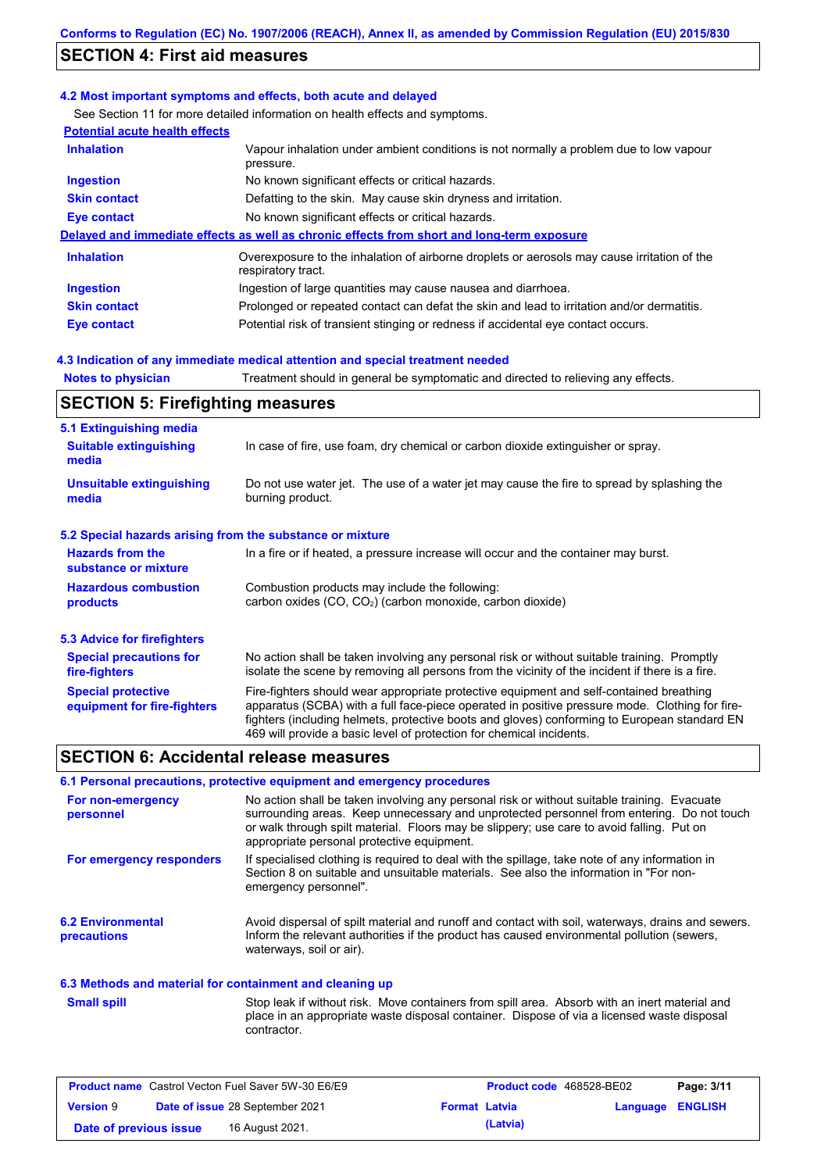## **SECTION 4: First aid measures**

### **4.2 Most important symptoms and effects, both acute and delayed**

See Section 11 for more detailed information on health effects and symptoms.

| <b>Potential acute health effects</b> |                                                                                                                   |
|---------------------------------------|-------------------------------------------------------------------------------------------------------------------|
| <b>Inhalation</b>                     | Vapour inhalation under ambient conditions is not normally a problem due to low vapour<br>pressure.               |
| <b>Ingestion</b>                      | No known significant effects or critical hazards.                                                                 |
| <b>Skin contact</b>                   | Defatting to the skin. May cause skin dryness and irritation.                                                     |
| Eye contact                           | No known significant effects or critical hazards.                                                                 |
|                                       | Delayed and immediate effects as well as chronic effects from short and long-term exposure                        |
| <b>Inhalation</b>                     | Overexposure to the inhalation of airborne droplets or aerosols may cause irritation of the<br>respiratory tract. |
| <b>Ingestion</b>                      | Ingestion of large quantities may cause nausea and diarrhoea.                                                     |
| <b>Skin contact</b>                   | Prolonged or repeated contact can defat the skin and lead to irritation and/or dermatitis.                        |
| Eye contact                           | Potential risk of transient stinging or redness if accidental eye contact occurs.                                 |
|                                       |                                                                                                                   |

### **4.3 Indication of any immediate medical attention and special treatment needed**

**Notes to physician** Treatment should in general be symptomatic and directed to relieving any effects.

## **SECTION 5: Firefighting measures**

| 5.1 Extinguishing media                                   |                                                                                                                                                                                                                                                                                                                                                                   |
|-----------------------------------------------------------|-------------------------------------------------------------------------------------------------------------------------------------------------------------------------------------------------------------------------------------------------------------------------------------------------------------------------------------------------------------------|
| <b>Suitable extinguishing</b><br>media                    | In case of fire, use foam, dry chemical or carbon dioxide extinguisher or spray.                                                                                                                                                                                                                                                                                  |
| <b>Unsuitable extinguishing</b><br>media                  | Do not use water jet. The use of a water jet may cause the fire to spread by splashing the<br>burning product.                                                                                                                                                                                                                                                    |
| 5.2 Special hazards arising from the substance or mixture |                                                                                                                                                                                                                                                                                                                                                                   |
| <b>Hazards from the</b><br>substance or mixture           | In a fire or if heated, a pressure increase will occur and the container may burst.                                                                                                                                                                                                                                                                               |
| <b>Hazardous combustion</b><br>products                   | Combustion products may include the following:<br>carbon oxides $(CO, CO2)$ (carbon monoxide, carbon dioxide)                                                                                                                                                                                                                                                     |
| 5.3 Advice for firefighters                               |                                                                                                                                                                                                                                                                                                                                                                   |
| <b>Special precautions for</b><br>fire-fighters           | No action shall be taken involving any personal risk or without suitable training. Promptly<br>isolate the scene by removing all persons from the vicinity of the incident if there is a fire.                                                                                                                                                                    |
| <b>Special protective</b><br>equipment for fire-fighters  | Fire-fighters should wear appropriate protective equipment and self-contained breathing<br>apparatus (SCBA) with a full face-piece operated in positive pressure mode. Clothing for fire-<br>fighters (including helmets, protective boots and gloves) conforming to European standard EN<br>469 will provide a basic level of protection for chemical incidents. |

## **SECTION 6: Accidental release measures**

### **6.1 Personal precautions, protective equipment and emergency procedures**

| For non-emergency<br>personnel                 | No action shall be taken involving any personal risk or without suitable training. Evacuate<br>surrounding areas. Keep unnecessary and unprotected personnel from entering. Do not touch<br>or walk through spilt material. Floors may be slippery; use care to avoid falling. Put on<br>appropriate personal protective equipment. |
|------------------------------------------------|-------------------------------------------------------------------------------------------------------------------------------------------------------------------------------------------------------------------------------------------------------------------------------------------------------------------------------------|
| For emergency responders                       | If specialised clothing is required to deal with the spillage, take note of any information in<br>Section 8 on suitable and unsuitable materials. See also the information in "For non-<br>emergency personnel".                                                                                                                    |
| <b>6.2 Environmental</b><br><b>precautions</b> | Avoid dispersal of spilt material and runoff and contact with soil, waterways, drains and sewers.<br>Inform the relevant authorities if the product has caused environmental pollution (sewers,<br>waterways, soil or air).                                                                                                         |

### **6.3 Methods and material for containment and cleaning up**

Stop leak if without risk. Move containers from spill area. Absorb with an inert material and place in an appropriate waste disposal container. Dispose of via a licensed waste disposal contractor. **Small spill**

| <b>Product name</b> Castrol Vecton Fuel Saver 5W-30 E6/E9 |  |                                 | <b>Product code</b> 468528-BE02 |          | Page: 3/11              |  |
|-----------------------------------------------------------|--|---------------------------------|---------------------------------|----------|-------------------------|--|
| <b>Version 9</b>                                          |  | Date of issue 28 September 2021 | <b>Format Latvia</b>            |          | <b>Language ENGLISH</b> |  |
| Date of previous issue                                    |  | 16 August 2021.                 |                                 | (Latvia) |                         |  |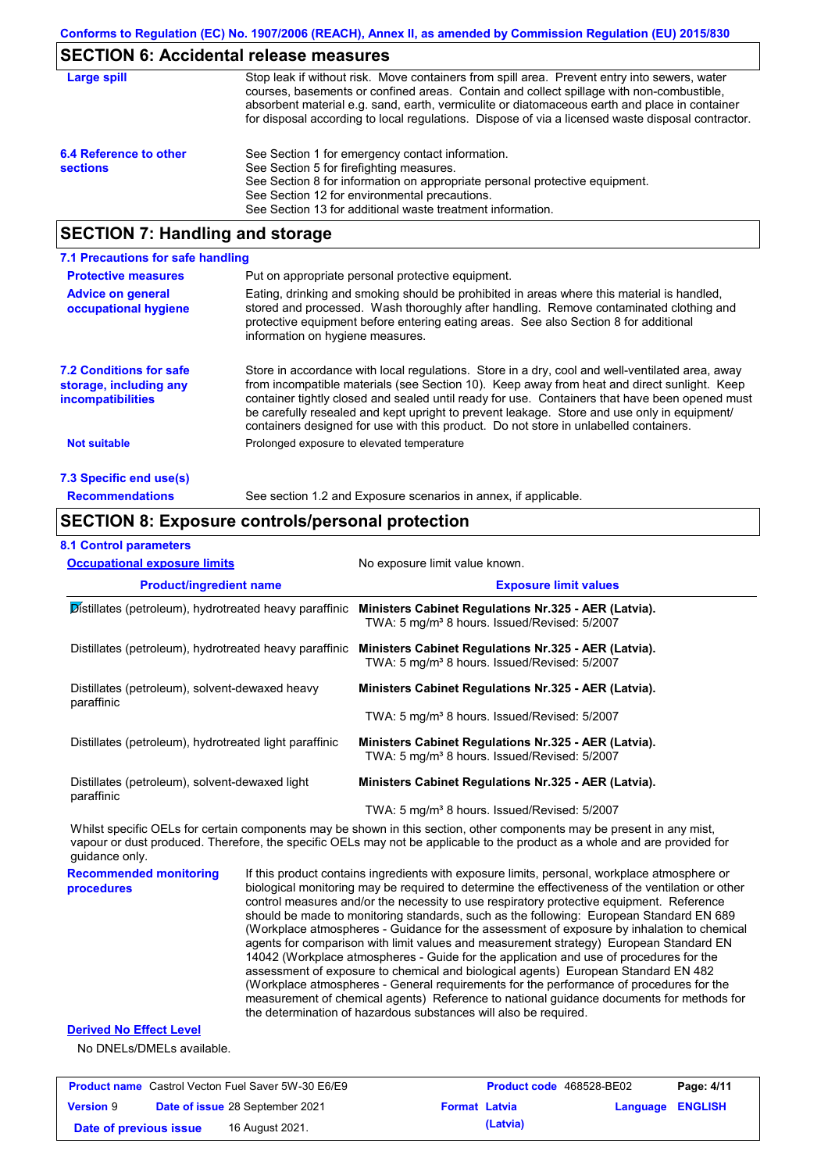## **SECTION 6: Accidental release measures**

| Large spill                               | Stop leak if without risk. Move containers from spill area. Prevent entry into sewers, water<br>courses, basements or confined areas. Contain and collect spillage with non-combustible,<br>absorbent material e.g. sand, earth, vermiculite or diatomaceous earth and place in container<br>for disposal according to local regulations. Dispose of via a licensed waste disposal contractor. |
|-------------------------------------------|------------------------------------------------------------------------------------------------------------------------------------------------------------------------------------------------------------------------------------------------------------------------------------------------------------------------------------------------------------------------------------------------|
| 6.4 Reference to other<br><b>sections</b> | See Section 1 for emergency contact information.<br>See Section 5 for firefighting measures.<br>See Section 8 for information on appropriate personal protective equipment.<br>See Section 12 for environmental precautions.<br>See Section 13 for additional waste treatment information.                                                                                                     |

## **SECTION 7: Handling and storage**

| 7.1 Precautions for safe handling                                             |                                                                                                                                                                                                                                                                                                                                                                                                                                                                                          |
|-------------------------------------------------------------------------------|------------------------------------------------------------------------------------------------------------------------------------------------------------------------------------------------------------------------------------------------------------------------------------------------------------------------------------------------------------------------------------------------------------------------------------------------------------------------------------------|
| <b>Protective measures</b>                                                    | Put on appropriate personal protective equipment.                                                                                                                                                                                                                                                                                                                                                                                                                                        |
| <b>Advice on general</b><br>occupational hygiene                              | Eating, drinking and smoking should be prohibited in areas where this material is handled.<br>stored and processed. Wash thoroughly after handling. Remove contaminated clothing and<br>protective equipment before entering eating areas. See also Section 8 for additional<br>information on hygiene measures.                                                                                                                                                                         |
| <b>7.2 Conditions for safe</b><br>storage, including any<br>incompatibilities | Store in accordance with local requiations. Store in a dry, cool and well-ventilated area, away<br>from incompatible materials (see Section 10). Keep away from heat and direct sunlight. Keep<br>container tightly closed and sealed until ready for use. Containers that have been opened must<br>be carefully resealed and kept upright to prevent leakage. Store and use only in equipment/<br>containers designed for use with this product. Do not store in unlabelled containers. |
| Not suitable                                                                  | Prolonged exposure to elevated temperature                                                                                                                                                                                                                                                                                                                                                                                                                                               |
| 7.3 Specific end use(s)                                                       |                                                                                                                                                                                                                                                                                                                                                                                                                                                                                          |

**Recommendations**

See section 1.2 and Exposure scenarios in annex, if applicable.

### **SECTION 8: Exposure controls/personal protection**

#### **8.1 Control parameters**

| <b>Occupational exposure limits</b>                          |  | No exposure limit value known.                                                                                                                                                                                                                       |  |  |  |
|--------------------------------------------------------------|--|------------------------------------------------------------------------------------------------------------------------------------------------------------------------------------------------------------------------------------------------------|--|--|--|
| <b>Product/ingredient name</b>                               |  | <b>Exposure limit values</b>                                                                                                                                                                                                                         |  |  |  |
| Distillates (petroleum), hydrotreated heavy paraffinic       |  | Ministers Cabinet Regulations Nr.325 - AER (Latvia).<br>TWA: 5 mg/m <sup>3</sup> 8 hours. Issued/Revised: 5/2007                                                                                                                                     |  |  |  |
| Distillates (petroleum), hydrotreated heavy paraffinic       |  | Ministers Cabinet Regulations Nr.325 - AER (Latvia).<br>TWA: 5 mg/m <sup>3</sup> 8 hours. Issued/Revised: 5/2007                                                                                                                                     |  |  |  |
| Distillates (petroleum), solvent-dewaxed heavy               |  | Ministers Cabinet Regulations Nr.325 - AER (Latvia).                                                                                                                                                                                                 |  |  |  |
| paraffinic                                                   |  | TWA: 5 mg/m <sup>3</sup> 8 hours. Issued/Revised: 5/2007                                                                                                                                                                                             |  |  |  |
| Distillates (petroleum), hydrotreated light paraffinic       |  | Ministers Cabinet Regulations Nr.325 - AER (Latvia).<br>TWA: 5 mg/m <sup>3</sup> 8 hours. Issued/Revised: 5/2007                                                                                                                                     |  |  |  |
| Distillates (petroleum), solvent-dewaxed light<br>paraffinic |  | Ministers Cabinet Regulations Nr.325 - AER (Latvia).                                                                                                                                                                                                 |  |  |  |
|                                                              |  | TWA: 5 mg/m <sup>3</sup> 8 hours. Issued/Revised: 5/2007                                                                                                                                                                                             |  |  |  |
| guidance only.                                               |  | Whilst specific OELs for certain components may be shown in this section, other components may be present in any mist,<br>vapour or dust produced. Therefore, the specific OELs may not be applicable to the product as a whole and are provided for |  |  |  |
| <b>Recommended monitoring</b><br>procedures                  |  | If this product contains ingredients with exposure limits, personal, workplace atmosphere or<br>biological monitoring may be required to determine the effectiveness of the ventilation or other                                                     |  |  |  |

control measures and/or the necessity to use respiratory protective equipment. Reference should be made to monitoring standards, such as the following: European Standard EN 689 (Workplace atmospheres - Guidance for the assessment of exposure by inhalation to chemical agents for comparison with limit values and measurement strategy) European Standard EN 14042 (Workplace atmospheres - Guide for the application and use of procedures for the assessment of exposure to chemical and biological agents) European Standard EN 482 (Workplace atmospheres - General requirements for the performance of procedures for the measurement of chemical agents) Reference to national guidance documents for methods for the determination of hazardous substances will also be required.

### **Derived No Effect Level**

No DNELs/DMELs available.

| <b>Product name</b> Castrol Vecton Fuel Saver 5W-30 E6/E9 |  |                                        | <b>Product code</b> 468528-BE02 |          | Page: 4/11              |  |
|-----------------------------------------------------------|--|----------------------------------------|---------------------------------|----------|-------------------------|--|
| <b>Version 9</b>                                          |  | <b>Date of issue 28 September 2021</b> | <b>Format Latvia</b>            |          | <b>Language ENGLISH</b> |  |
| Date of previous issue                                    |  | 16 August 2021.                        |                                 | (Latvia) |                         |  |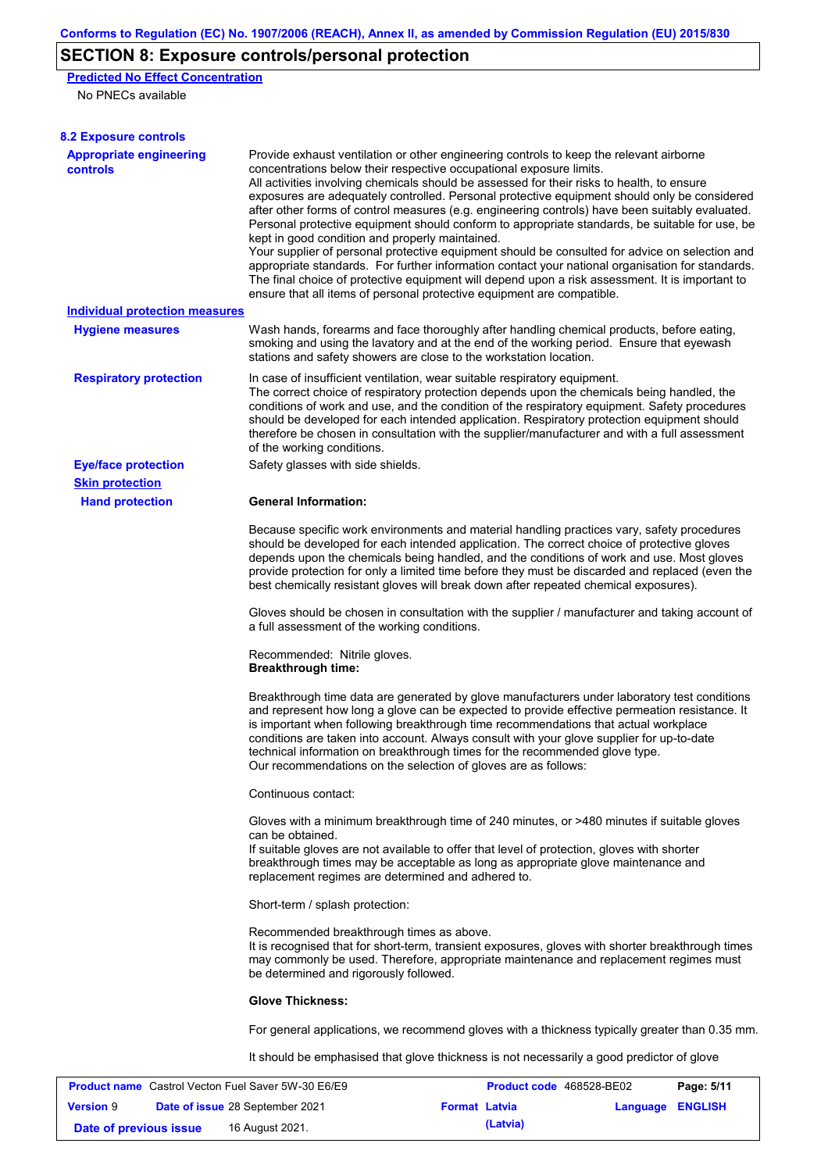# **SECTION 8: Exposure controls/personal protection**

**Predicted No Effect Concentration**

No PNECs available

| <b>8.2 Exposure controls</b>                              |                                                                                                                                                                                                                                                                                                                                                                                                                                                                                                                                                                                                                                                                                                                                                                                                                                                                                                                                                                                                         |                          |          |                |
|-----------------------------------------------------------|---------------------------------------------------------------------------------------------------------------------------------------------------------------------------------------------------------------------------------------------------------------------------------------------------------------------------------------------------------------------------------------------------------------------------------------------------------------------------------------------------------------------------------------------------------------------------------------------------------------------------------------------------------------------------------------------------------------------------------------------------------------------------------------------------------------------------------------------------------------------------------------------------------------------------------------------------------------------------------------------------------|--------------------------|----------|----------------|
| <b>Appropriate engineering</b><br>controls                | Provide exhaust ventilation or other engineering controls to keep the relevant airborne<br>concentrations below their respective occupational exposure limits.<br>All activities involving chemicals should be assessed for their risks to health, to ensure<br>exposures are adequately controlled. Personal protective equipment should only be considered<br>after other forms of control measures (e.g. engineering controls) have been suitably evaluated.<br>Personal protective equipment should conform to appropriate standards, be suitable for use, be<br>kept in good condition and properly maintained.<br>Your supplier of personal protective equipment should be consulted for advice on selection and<br>appropriate standards. For further information contact your national organisation for standards.<br>The final choice of protective equipment will depend upon a risk assessment. It is important to<br>ensure that all items of personal protective equipment are compatible. |                          |          |                |
| <b>Individual protection measures</b>                     |                                                                                                                                                                                                                                                                                                                                                                                                                                                                                                                                                                                                                                                                                                                                                                                                                                                                                                                                                                                                         |                          |          |                |
| <b>Hygiene measures</b>                                   | Wash hands, forearms and face thoroughly after handling chemical products, before eating,<br>smoking and using the lavatory and at the end of the working period. Ensure that eyewash<br>stations and safety showers are close to the workstation location.                                                                                                                                                                                                                                                                                                                                                                                                                                                                                                                                                                                                                                                                                                                                             |                          |          |                |
| <b>Respiratory protection</b>                             | In case of insufficient ventilation, wear suitable respiratory equipment.<br>The correct choice of respiratory protection depends upon the chemicals being handled, the<br>conditions of work and use, and the condition of the respiratory equipment. Safety procedures<br>should be developed for each intended application. Respiratory protection equipment should<br>therefore be chosen in consultation with the supplier/manufacturer and with a full assessment<br>of the working conditions.                                                                                                                                                                                                                                                                                                                                                                                                                                                                                                   |                          |          |                |
| <b>Eye/face protection</b>                                | Safety glasses with side shields.                                                                                                                                                                                                                                                                                                                                                                                                                                                                                                                                                                                                                                                                                                                                                                                                                                                                                                                                                                       |                          |          |                |
| <b>Skin protection</b>                                    |                                                                                                                                                                                                                                                                                                                                                                                                                                                                                                                                                                                                                                                                                                                                                                                                                                                                                                                                                                                                         |                          |          |                |
| <b>Hand protection</b>                                    | <b>General Information:</b>                                                                                                                                                                                                                                                                                                                                                                                                                                                                                                                                                                                                                                                                                                                                                                                                                                                                                                                                                                             |                          |          |                |
|                                                           | Because specific work environments and material handling practices vary, safety procedures<br>should be developed for each intended application. The correct choice of protective gloves<br>depends upon the chemicals being handled, and the conditions of work and use. Most gloves<br>provide protection for only a limited time before they must be discarded and replaced (even the<br>best chemically resistant gloves will break down after repeated chemical exposures).                                                                                                                                                                                                                                                                                                                                                                                                                                                                                                                        |                          |          |                |
|                                                           | Gloves should be chosen in consultation with the supplier / manufacturer and taking account of<br>a full assessment of the working conditions.                                                                                                                                                                                                                                                                                                                                                                                                                                                                                                                                                                                                                                                                                                                                                                                                                                                          |                          |          |                |
|                                                           | Recommended: Nitrile gloves.<br><b>Breakthrough time:</b>                                                                                                                                                                                                                                                                                                                                                                                                                                                                                                                                                                                                                                                                                                                                                                                                                                                                                                                                               |                          |          |                |
|                                                           | Breakthrough time data are generated by glove manufacturers under laboratory test conditions<br>and represent how long a glove can be expected to provide effective permeation resistance. It<br>is important when following breakthrough time recommendations that actual workplace<br>conditions are taken into account. Always consult with your glove supplier for up-to-date<br>technical information on breakthrough times for the recommended glove type.<br>Our recommendations on the selection of gloves are as follows:                                                                                                                                                                                                                                                                                                                                                                                                                                                                      |                          |          |                |
|                                                           | Continuous contact:                                                                                                                                                                                                                                                                                                                                                                                                                                                                                                                                                                                                                                                                                                                                                                                                                                                                                                                                                                                     |                          |          |                |
|                                                           | Gloves with a minimum breakthrough time of 240 minutes, or >480 minutes if suitable gloves<br>can be obtained.<br>If suitable gloves are not available to offer that level of protection, gloves with shorter<br>breakthrough times may be acceptable as long as appropriate glove maintenance and<br>replacement regimes are determined and adhered to.                                                                                                                                                                                                                                                                                                                                                                                                                                                                                                                                                                                                                                                |                          |          |                |
|                                                           | Short-term / splash protection:                                                                                                                                                                                                                                                                                                                                                                                                                                                                                                                                                                                                                                                                                                                                                                                                                                                                                                                                                                         |                          |          |                |
|                                                           | Recommended breakthrough times as above.<br>It is recognised that for short-term, transient exposures, gloves with shorter breakthrough times<br>may commonly be used. Therefore, appropriate maintenance and replacement regimes must<br>be determined and rigorously followed.                                                                                                                                                                                                                                                                                                                                                                                                                                                                                                                                                                                                                                                                                                                        |                          |          |                |
|                                                           | <b>Glove Thickness:</b>                                                                                                                                                                                                                                                                                                                                                                                                                                                                                                                                                                                                                                                                                                                                                                                                                                                                                                                                                                                 |                          |          |                |
|                                                           | For general applications, we recommend gloves with a thickness typically greater than 0.35 mm.                                                                                                                                                                                                                                                                                                                                                                                                                                                                                                                                                                                                                                                                                                                                                                                                                                                                                                          |                          |          |                |
|                                                           | It should be emphasised that glove thickness is not necessarily a good predictor of glove                                                                                                                                                                                                                                                                                                                                                                                                                                                                                                                                                                                                                                                                                                                                                                                                                                                                                                               |                          |          |                |
| <b>Product name</b> Castrol Vecton Fuel Saver 5W-30 E6/E9 |                                                                                                                                                                                                                                                                                                                                                                                                                                                                                                                                                                                                                                                                                                                                                                                                                                                                                                                                                                                                         | Product code 468528-BE02 |          | Page: 5/11     |
| <b>Version 9</b><br>Date of issue 28 September 2021       |                                                                                                                                                                                                                                                                                                                                                                                                                                                                                                                                                                                                                                                                                                                                                                                                                                                                                                                                                                                                         | <b>Format Latvia</b>     | Language | <b>ENGLISH</b> |

**Date of previous issue 16 August 2021. (Latvia) (Latvia)**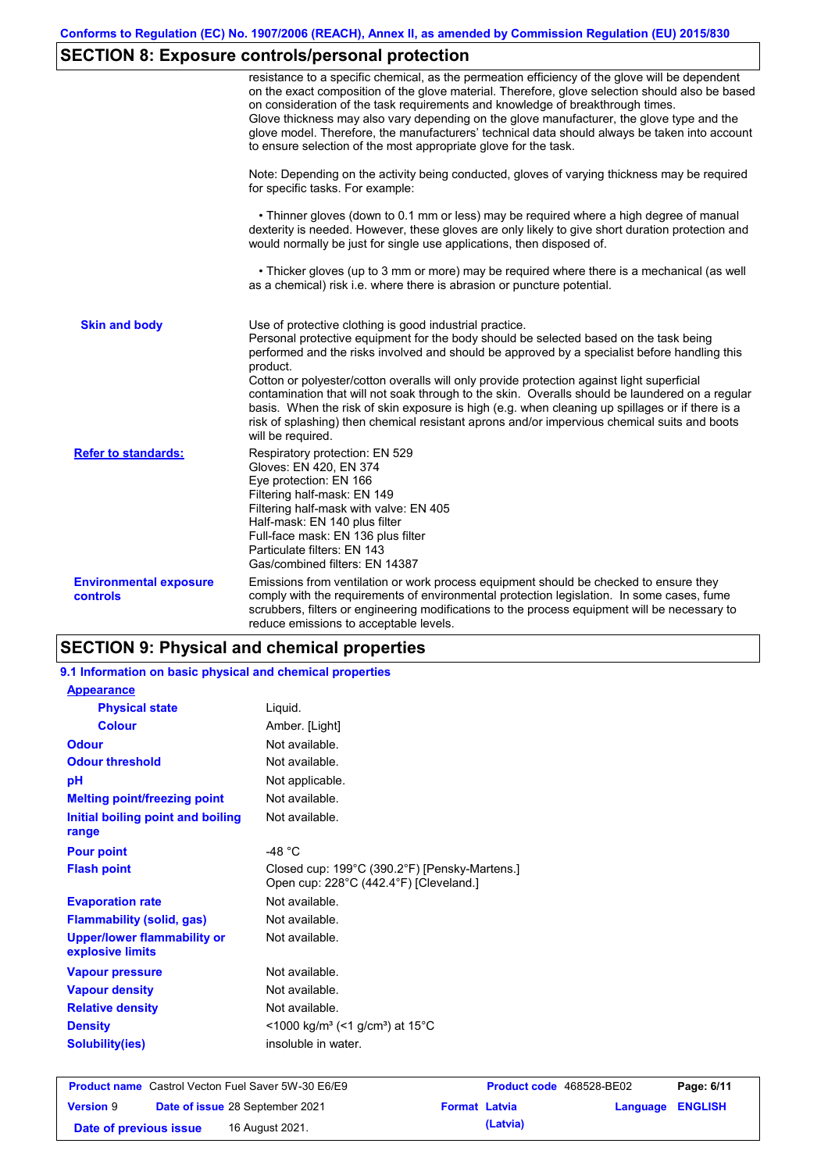# **SECTION 8: Exposure controls/personal protection**

|                                                  | resistance to a specific chemical, as the permeation efficiency of the glove will be dependent<br>on the exact composition of the glove material. Therefore, glove selection should also be based<br>on consideration of the task requirements and knowledge of breakthrough times.<br>Glove thickness may also vary depending on the glove manufacturer, the glove type and the<br>glove model. Therefore, the manufacturers' technical data should always be taken into account<br>to ensure selection of the most appropriate glove for the task.                                                                                                                                  |
|--------------------------------------------------|---------------------------------------------------------------------------------------------------------------------------------------------------------------------------------------------------------------------------------------------------------------------------------------------------------------------------------------------------------------------------------------------------------------------------------------------------------------------------------------------------------------------------------------------------------------------------------------------------------------------------------------------------------------------------------------|
|                                                  | Note: Depending on the activity being conducted, gloves of varying thickness may be required<br>for specific tasks. For example:                                                                                                                                                                                                                                                                                                                                                                                                                                                                                                                                                      |
|                                                  | • Thinner gloves (down to 0.1 mm or less) may be required where a high degree of manual<br>dexterity is needed. However, these gloves are only likely to give short duration protection and<br>would normally be just for single use applications, then disposed of.                                                                                                                                                                                                                                                                                                                                                                                                                  |
|                                                  | • Thicker gloves (up to 3 mm or more) may be required where there is a mechanical (as well<br>as a chemical) risk i.e. where there is abrasion or puncture potential.                                                                                                                                                                                                                                                                                                                                                                                                                                                                                                                 |
| <b>Skin and body</b>                             | Use of protective clothing is good industrial practice.<br>Personal protective equipment for the body should be selected based on the task being<br>performed and the risks involved and should be approved by a specialist before handling this<br>product.<br>Cotton or polyester/cotton overalls will only provide protection against light superficial<br>contamination that will not soak through to the skin. Overalls should be laundered on a regular<br>basis. When the risk of skin exposure is high (e.g. when cleaning up spillages or if there is a<br>risk of splashing) then chemical resistant aprons and/or impervious chemical suits and boots<br>will be required. |
| <b>Refer to standards:</b>                       | Respiratory protection: EN 529<br>Gloves: EN 420, EN 374<br>Eye protection: EN 166<br>Filtering half-mask: EN 149<br>Filtering half-mask with valve: EN 405<br>Half-mask: EN 140 plus filter<br>Full-face mask: EN 136 plus filter<br>Particulate filters: EN 143<br>Gas/combined filters: EN 14387                                                                                                                                                                                                                                                                                                                                                                                   |
| <b>Environmental exposure</b><br><b>controls</b> | Emissions from ventilation or work process equipment should be checked to ensure they<br>comply with the requirements of environmental protection legislation. In some cases, fume<br>scrubbers, filters or engineering modifications to the process equipment will be necessary to<br>reduce emissions to acceptable levels.                                                                                                                                                                                                                                                                                                                                                         |

# **SECTION 9: Physical and chemical properties**

| <b>Product name</b> Castrol Vecton Fuel Saver 5W-30 E6/E9 |                                                                                         | Product code 468528-BE02 | Page: 6/11 |
|-----------------------------------------------------------|-----------------------------------------------------------------------------------------|--------------------------|------------|
| <b>Solubility(ies)</b>                                    | insoluble in water.                                                                     |                          |            |
| <b>Density</b>                                            | <1000 kg/m <sup>3</sup> (<1 g/cm <sup>3</sup> ) at 15 <sup>°</sup> C                    |                          |            |
| <b>Relative density</b>                                   | Not available.                                                                          |                          |            |
| <b>Vapour density</b>                                     | Not available.                                                                          |                          |            |
| <b>Vapour pressure</b>                                    | Not available.                                                                          |                          |            |
| <b>Upper/lower flammability or</b><br>explosive limits    | Not available.                                                                          |                          |            |
| <b>Flammability (solid, gas)</b>                          | Not available.                                                                          |                          |            |
| <b>Evaporation rate</b>                                   | Not available.                                                                          |                          |            |
| <b>Flash point</b>                                        | Closed cup: 199°C (390.2°F) [Pensky-Martens.]<br>Open cup: 228°C (442.4°F) [Cleveland.] |                          |            |
| <b>Pour point</b>                                         | -48 $°C$                                                                                |                          |            |
| Initial boiling point and boiling<br>range                | Not available.                                                                          |                          |            |
| <b>Melting point/freezing point</b>                       | Not available.                                                                          |                          |            |
| pH                                                        | Not applicable.                                                                         |                          |            |
| <b>Odour threshold</b>                                    | Not available.                                                                          |                          |            |
| <b>Odour</b>                                              | Not available.                                                                          |                          |            |
| <b>Colour</b>                                             | Amber. [Light]                                                                          |                          |            |
| <b>Physical state</b>                                     | Liquid.                                                                                 |                          |            |
| <b>Appearance</b>                                         |                                                                                         |                          |            |
| 9.1 Information on basic physical and chemical properties |                                                                                         |                          |            |

|                        | <b>Product name</b> Castrol Vecton Fuel Saver 5W-30 E6/E9 |                      | <b>Product code</b> 468528-BE02 |                  | Page: 6/11 |
|------------------------|-----------------------------------------------------------|----------------------|---------------------------------|------------------|------------|
| <b>Version 9</b>       | <b>Date of issue 28 September 2021</b>                    | <b>Format Latvia</b> |                                 | Language ENGLISH |            |
| Date of previous issue | 16 August 2021.                                           |                      | (Latvia)                        |                  |            |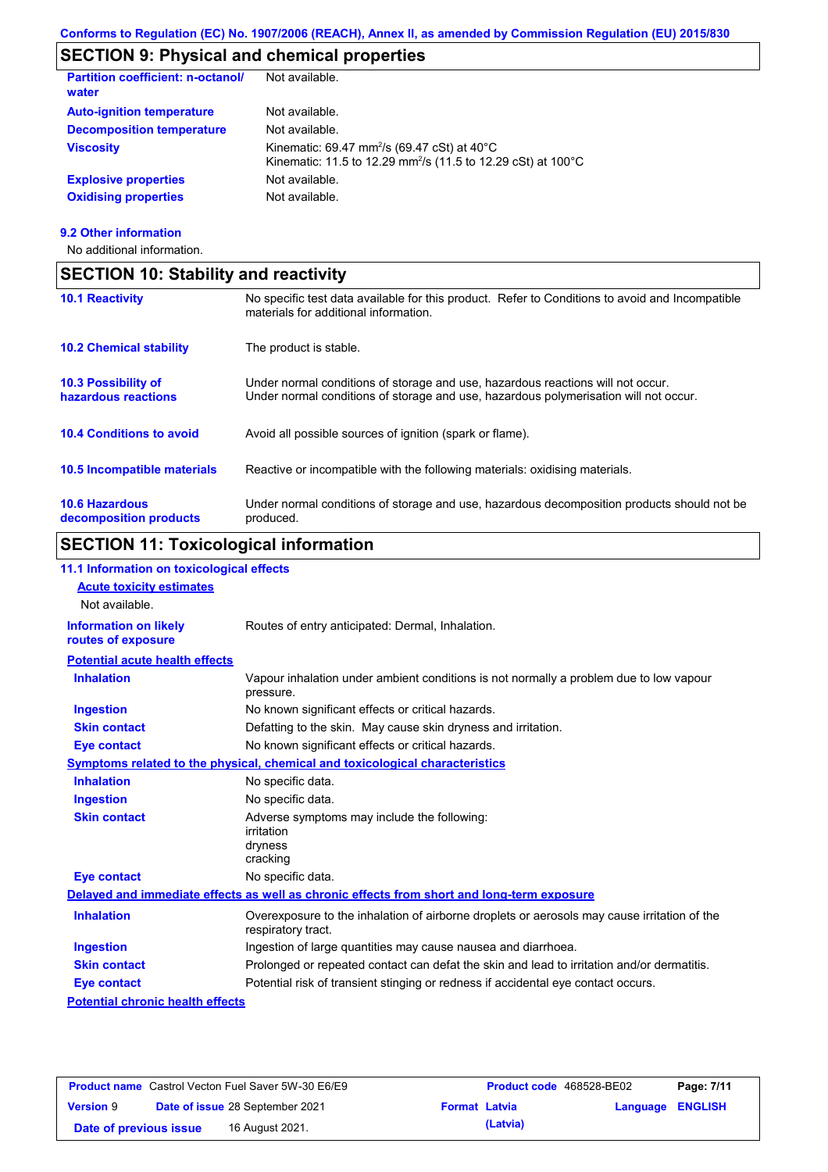# **SECTION 9: Physical and chemical properties**

| <b>Partition coefficient: n-octanol/</b><br>water | Not available.                                                                                                                                 |
|---------------------------------------------------|------------------------------------------------------------------------------------------------------------------------------------------------|
| <b>Auto-ignition temperature</b>                  | Not available.                                                                                                                                 |
| <b>Decomposition temperature</b>                  | Not available.                                                                                                                                 |
| <b>Viscosity</b>                                  | Kinematic: 69.47 mm <sup>2</sup> /s (69.47 cSt) at 40 $^{\circ}$ C<br>Kinematic: 11.5 to 12.29 mm <sup>2</sup> /s (11.5 to 12.29 cSt) at 100°C |
| <b>Explosive properties</b>                       | Not available.                                                                                                                                 |
| <b>Oxidising properties</b>                       | Not available.                                                                                                                                 |

### **9.2 Other information**

No additional information.

| <b>SECTION 10: Stability and reactivity</b>     |                                                                                                                                                                         |
|-------------------------------------------------|-------------------------------------------------------------------------------------------------------------------------------------------------------------------------|
| <b>10.1 Reactivity</b>                          | No specific test data available for this product. Refer to Conditions to avoid and Incompatible<br>materials for additional information.                                |
| <b>10.2 Chemical stability</b>                  | The product is stable.                                                                                                                                                  |
| 10.3 Possibility of<br>hazardous reactions      | Under normal conditions of storage and use, hazardous reactions will not occur.<br>Under normal conditions of storage and use, hazardous polymerisation will not occur. |
| <b>10.4 Conditions to avoid</b>                 | Avoid all possible sources of ignition (spark or flame).                                                                                                                |
| 10.5 Incompatible materials                     | Reactive or incompatible with the following materials: oxidising materials.                                                                                             |
| <b>10.6 Hazardous</b><br>decomposition products | Under normal conditions of storage and use, hazardous decomposition products should not be<br>produced.                                                                 |

# **SECTION 11: Toxicological information**

| 11.1 Information on toxicological effects          |                                                                                                                   |
|----------------------------------------------------|-------------------------------------------------------------------------------------------------------------------|
| <b>Acute toxicity estimates</b>                    |                                                                                                                   |
| Not available.                                     |                                                                                                                   |
| <b>Information on likely</b><br>routes of exposure | Routes of entry anticipated: Dermal, Inhalation.                                                                  |
| <b>Potential acute health effects</b>              |                                                                                                                   |
| <b>Inhalation</b>                                  | Vapour inhalation under ambient conditions is not normally a problem due to low vapour<br>pressure.               |
| <b>Ingestion</b>                                   | No known significant effects or critical hazards.                                                                 |
| <b>Skin contact</b>                                | Defatting to the skin. May cause skin dryness and irritation.                                                     |
| <b>Eye contact</b>                                 | No known significant effects or critical hazards.                                                                 |
|                                                    | Symptoms related to the physical, chemical and toxicological characteristics                                      |
| <b>Inhalation</b>                                  | No specific data.                                                                                                 |
| <b>Ingestion</b>                                   | No specific data.                                                                                                 |
| <b>Skin contact</b>                                | Adverse symptoms may include the following:<br>irritation<br>dryness<br>cracking                                  |
| <b>Eye contact</b>                                 | No specific data.                                                                                                 |
|                                                    | Delayed and immediate effects as well as chronic effects from short and long-term exposure                        |
| <b>Inhalation</b>                                  | Overexposure to the inhalation of airborne droplets or aerosols may cause irritation of the<br>respiratory tract. |
| <b>Ingestion</b>                                   | Ingestion of large quantities may cause nausea and diarrhoea.                                                     |
| <b>Skin contact</b>                                | Prolonged or repeated contact can defat the skin and lead to irritation and/or dermatitis.                        |
| <b>Eye contact</b>                                 | Potential risk of transient stinging or redness if accidental eye contact occurs.                                 |
| <b>Potential chronic health effects</b>            |                                                                                                                   |

| <b>Product name</b> Castrol Vecton Fuel Saver 5W-30 E6/E9 |  | <b>Product code</b> 468528-BE02 |                      | Page: 7/11 |                         |  |
|-----------------------------------------------------------|--|---------------------------------|----------------------|------------|-------------------------|--|
| <b>Version 9</b>                                          |  | Date of issue 28 September 2021 | <b>Format Latvia</b> |            | <b>Language ENGLISH</b> |  |
| Date of previous issue                                    |  | 16 August 2021.                 |                      | (Latvia)   |                         |  |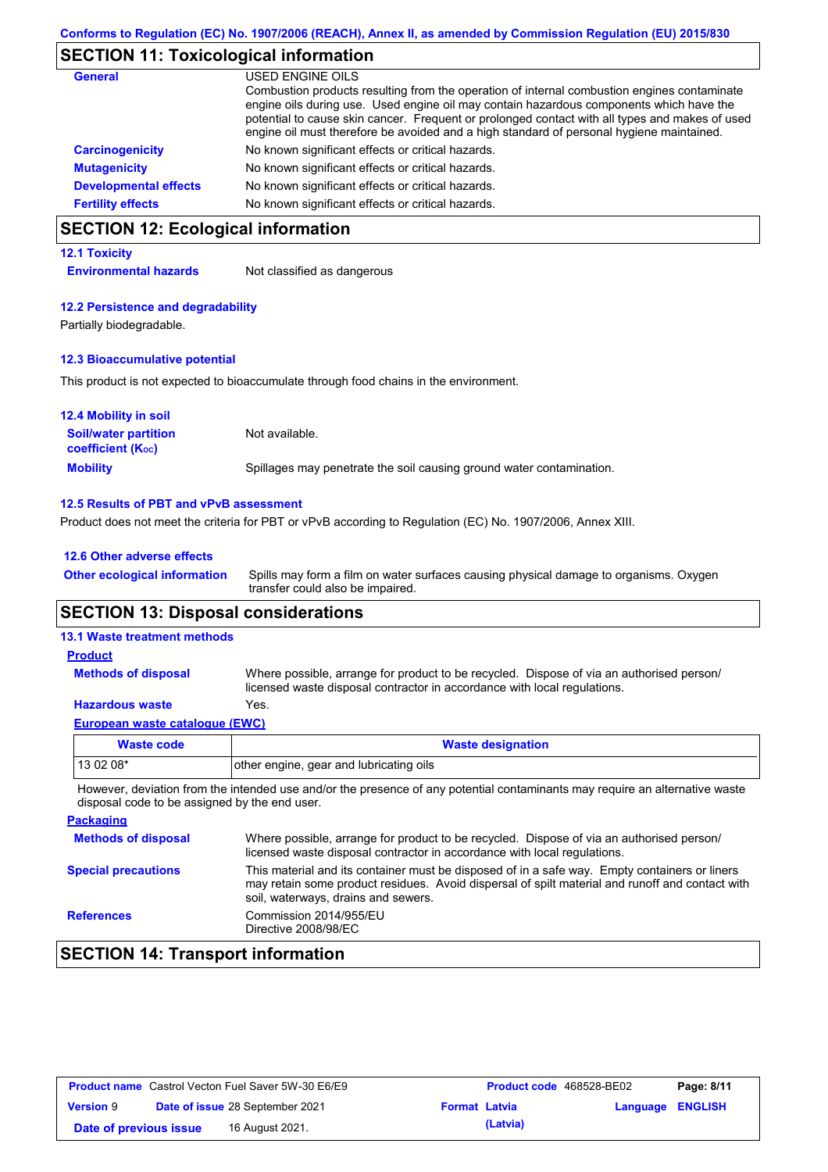## **SECTION 11: Toxicological information**

| General                      | USED ENGINE OILS<br>Combustion products resulting from the operation of internal combustion engines contaminate<br>engine oils during use. Used engine oil may contain hazardous components which have the<br>potential to cause skin cancer. Frequent or prolonged contact with all types and makes of used<br>engine oil must therefore be avoided and a high standard of personal hygiene maintained. |
|------------------------------|----------------------------------------------------------------------------------------------------------------------------------------------------------------------------------------------------------------------------------------------------------------------------------------------------------------------------------------------------------------------------------------------------------|
| <b>Carcinogenicity</b>       | No known significant effects or critical hazards.                                                                                                                                                                                                                                                                                                                                                        |
| <b>Mutagenicity</b>          | No known significant effects or critical hazards.                                                                                                                                                                                                                                                                                                                                                        |
| <b>Developmental effects</b> | No known significant effects or critical hazards.                                                                                                                                                                                                                                                                                                                                                        |
| <b>Fertility effects</b>     | No known significant effects or critical hazards.                                                                                                                                                                                                                                                                                                                                                        |

# **SECTION 12: Ecological information**

### **12.1 Toxicity**

**Environmental hazards** Not classified as dangerous

### **12.2 Persistence and degradability**

Partially biodegradable.

### **12.3 Bioaccumulative potential**

This product is not expected to bioaccumulate through food chains in the environment.

| <b>12.4 Mobility in soil</b>                            |                                                                      |
|---------------------------------------------------------|----------------------------------------------------------------------|
| <b>Soil/water partition</b><br><b>coefficient (Koc)</b> | Not available.                                                       |
| <b>Mobility</b>                                         | Spillages may penetrate the soil causing ground water contamination. |

### **12.5 Results of PBT and vPvB assessment**

Product does not meet the criteria for PBT or vPvB according to Regulation (EC) No. 1907/2006, Annex XIII.

| 12.6 Other adverse effects          |                                                                                                                           |
|-------------------------------------|---------------------------------------------------------------------------------------------------------------------------|
| <b>Other ecological information</b> | Spills may form a film on water surfaces causing physical damage to organisms. Oxygen<br>transfer could also be impaired. |
|                                     |                                                                                                                           |

## **SECTION 13: Disposal considerations**

### **13.1 Waste treatment methods**

| <b>Product</b>             |                                                                                                                                                                      |
|----------------------------|----------------------------------------------------------------------------------------------------------------------------------------------------------------------|
| <b>Methods of disposal</b> | Where possible, arrange for product to be recycled. Dispose of via an authorised person/<br>licensed waste disposal contractor in accordance with local regulations. |
| <b>Hazardous waste</b>     | Yes.                                                                                                                                                                 |

## **European waste catalogue (EWC)**

| Waste code | <b>Waste designation</b>                                                                                                    |
|------------|-----------------------------------------------------------------------------------------------------------------------------|
| 13 02 08*  | other engine, gear and lubricating oils                                                                                     |
|            | However, deviation from the intended use and/or the presence of any potential contaminants may require an alternative waste |

However, deviation from the intended use and/or the presence of any potential contaminants may require an alternative waste disposal code to be assigned by the end user.

| <b>Packaging</b>           |                                                                                                                                                                                                                                         |
|----------------------------|-----------------------------------------------------------------------------------------------------------------------------------------------------------------------------------------------------------------------------------------|
| <b>Methods of disposal</b> | Where possible, arrange for product to be recycled. Dispose of via an authorised person/<br>licensed waste disposal contractor in accordance with local regulations.                                                                    |
| <b>Special precautions</b> | This material and its container must be disposed of in a safe way. Empty containers or liners<br>may retain some product residues. Avoid dispersal of spilt material and runoff and contact with<br>soil, waterways, drains and sewers. |
| <b>References</b>          | Commission 2014/955/EU<br>Directive 2008/98/EC                                                                                                                                                                                          |

# **SECTION 14: Transport information**

| <b>Product name</b> Castrol Vecton Fuel Saver 5W-30 E6/E9 |  |                                        | <b>Product code</b> 468528-BE02 |          | Page: 8/11              |  |
|-----------------------------------------------------------|--|----------------------------------------|---------------------------------|----------|-------------------------|--|
| <b>Version 9</b>                                          |  | <b>Date of issue 28 September 2021</b> | <b>Format Latvia</b>            |          | <b>Language ENGLISH</b> |  |
| Date of previous issue                                    |  | 16 August 2021.                        |                                 | (Latvia) |                         |  |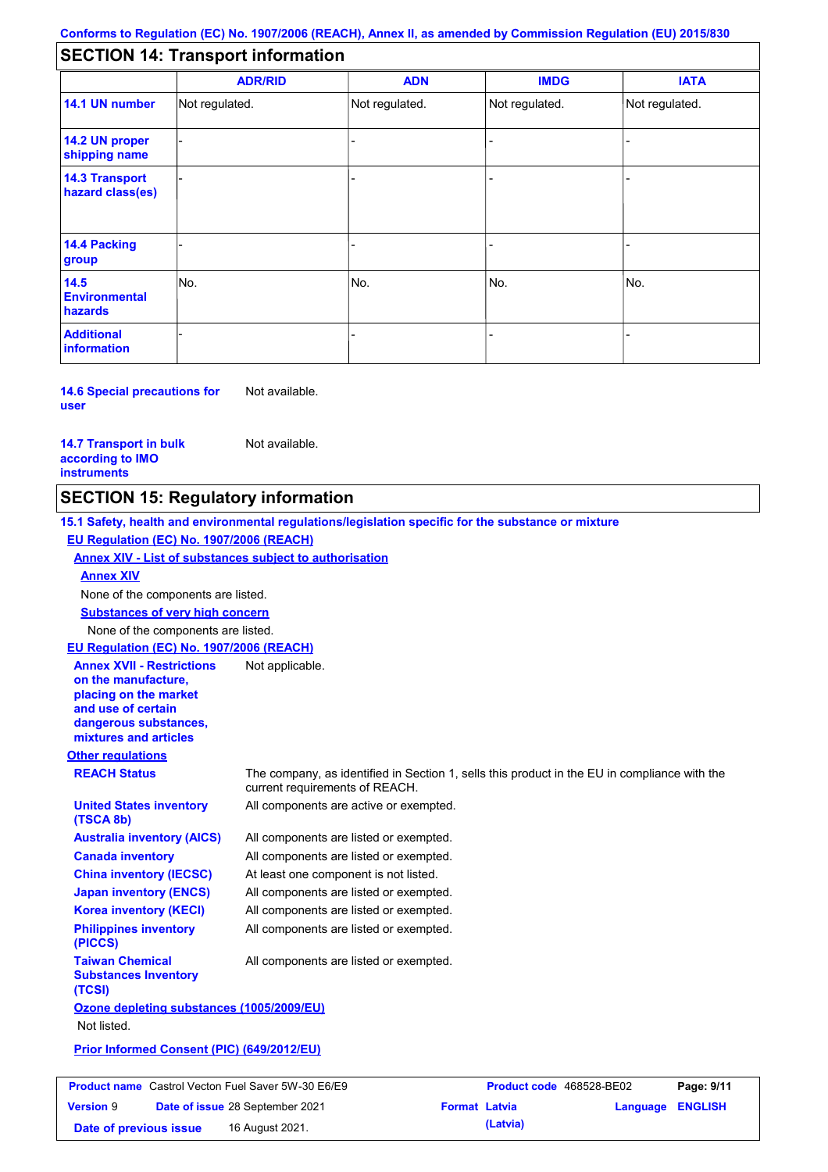## **SECTION 14: Transport information**

|                                           | <b>ADR/RID</b> | <b>ADN</b>     | <b>IMDG</b>    | <b>IATA</b>    |
|-------------------------------------------|----------------|----------------|----------------|----------------|
| 14.1 UN number                            | Not regulated. | Not regulated. | Not regulated. | Not regulated. |
| 14.2 UN proper<br>shipping name           |                |                |                |                |
| <b>14.3 Transport</b><br>hazard class(es) |                |                |                |                |
| 14.4 Packing<br>group                     |                |                |                |                |
| 14.5<br><b>Environmental</b><br>hazards   | No.            | No.            | No.            | No.            |
| <b>Additional</b><br>information          |                |                |                |                |

**14.6 Special precautions for user** Not available.

**14.7 Transport in bulk according to IMO instruments**

Not available.

## **SECTION 15: Regulatory information**

**Other regulations REACH Status** The company, as identified in Section 1, sells this product in the EU in compliance with the current requirements of REACH. **15.1 Safety, health and environmental regulations/legislation specific for the substance or mixture EU Regulation (EC) No. 1907/2006 (REACH) Annex XIV - List of substances subject to authorisation Substances of very high concern** None of the components are listed. All components are listed or exempted. All components are listed or exempted. At least one component is not listed. All components are listed or exempted. All components are active or exempted. All components are listed or exempted. All components are listed or exempted. **United States inventory (TSCA 8b) Australia inventory (AICS) Canada inventory China inventory (IECSC) Japan inventory (ENCS) Korea inventory (KECI) Philippines inventory (PICCS) Taiwan Chemical Substances Inventory (TCSI)** All components are listed or exempted. **Ozone depleting substances (1005/2009/EU)** Not listed. **Prior Informed Consent (PIC) (649/2012/EU)** None of the components are listed. **Annex XIV EU Regulation (EC) No. 1907/2006 (REACH) Annex XVII - Restrictions on the manufacture, placing on the market and use of certain dangerous substances, mixtures and articles** Not applicable.

| <b>Product name</b> Castrol Vecton Fuel Saver 5W-30 E6/E9 |  | <b>Product code</b> 468528-BE02        |                      | Page: 9/11 |                         |  |
|-----------------------------------------------------------|--|----------------------------------------|----------------------|------------|-------------------------|--|
| <b>Version 9</b>                                          |  | <b>Date of issue 28 September 2021</b> | <b>Format Latvia</b> |            | <b>Language ENGLISH</b> |  |
| Date of previous issue                                    |  | 16 August 2021.                        |                      | (Latvia)   |                         |  |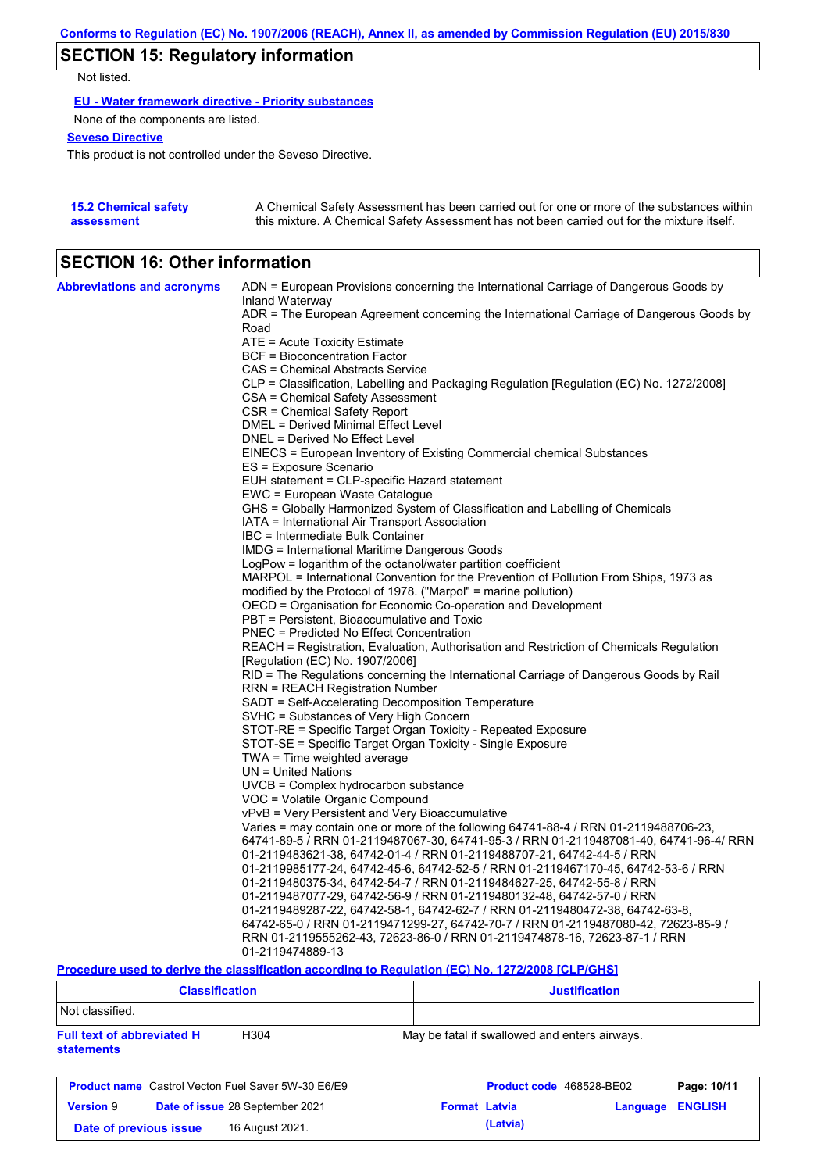# **SECTION 15: Regulatory information**

Not listed.

**EU - Water framework directive - Priority substances**

None of the components are listed.

## **Seveso Directive**

This product is not controlled under the Seveso Directive.

| <b>15.2 Chemical safety</b> | A Chemical Safety Assessment has been carried out for one or more of the substances within  |
|-----------------------------|---------------------------------------------------------------------------------------------|
| assessment                  | this mixture. A Chemical Safety Assessment has not been carried out for the mixture itself. |

## **SECTION 16: Other information**

| <b>Abbreviations and acronyms</b> | ADN = European Provisions concerning the International Carriage of Dangerous Goods by<br>Inland Waterway |
|-----------------------------------|----------------------------------------------------------------------------------------------------------|
|                                   | ADR = The European Agreement concerning the International Carriage of Dangerous Goods by<br>Road         |
|                                   | ATE = Acute Toxicity Estimate                                                                            |
|                                   | <b>BCF</b> = Bioconcentration Factor                                                                     |
|                                   | CAS = Chemical Abstracts Service                                                                         |
|                                   | CLP = Classification, Labelling and Packaging Regulation [Regulation (EC) No. 1272/2008]                 |
|                                   | CSA = Chemical Safety Assessment                                                                         |
|                                   | CSR = Chemical Safety Report                                                                             |
|                                   | DMEL = Derived Minimal Effect Level                                                                      |
|                                   | DNEL = Derived No Effect Level                                                                           |
|                                   | EINECS = European Inventory of Existing Commercial chemical Substances                                   |
|                                   | ES = Exposure Scenario                                                                                   |
|                                   | EUH statement = CLP-specific Hazard statement                                                            |
|                                   | EWC = European Waste Catalogue                                                                           |
|                                   | GHS = Globally Harmonized System of Classification and Labelling of Chemicals                            |
|                                   | IATA = International Air Transport Association                                                           |
|                                   | IBC = Intermediate Bulk Container                                                                        |
|                                   | IMDG = International Maritime Dangerous Goods                                                            |
|                                   | LogPow = logarithm of the octanol/water partition coefficient                                            |
|                                   | MARPOL = International Convention for the Prevention of Pollution From Ships, 1973 as                    |
|                                   | modified by the Protocol of 1978. ("Marpol" = marine pollution)                                          |
|                                   | OECD = Organisation for Economic Co-operation and Development                                            |
|                                   | PBT = Persistent, Bioaccumulative and Toxic                                                              |
|                                   | PNEC = Predicted No Effect Concentration                                                                 |
|                                   | REACH = Registration, Evaluation, Authorisation and Restriction of Chemicals Regulation                  |
|                                   | [Regulation (EC) No. 1907/2006]                                                                          |
|                                   | RID = The Regulations concerning the International Carriage of Dangerous Goods by Rail                   |
|                                   | RRN = REACH Registration Number                                                                          |
|                                   | SADT = Self-Accelerating Decomposition Temperature                                                       |
|                                   | SVHC = Substances of Very High Concern                                                                   |
|                                   | STOT-RE = Specific Target Organ Toxicity - Repeated Exposure                                             |
|                                   | STOT-SE = Specific Target Organ Toxicity - Single Exposure                                               |
|                                   | TWA = Time weighted average                                                                              |
|                                   | $UN = United Nations$                                                                                    |
|                                   | $UVCB = Complex\;hydrocarbon\; substance$                                                                |
|                                   | VOC = Volatile Organic Compound                                                                          |
|                                   | vPvB = Very Persistent and Very Bioaccumulative                                                          |
|                                   | Varies = may contain one or more of the following 64741-88-4 / RRN 01-2119488706-23,                     |
|                                   | 64741-89-5 / RRN 01-2119487067-30, 64741-95-3 / RRN 01-2119487081-40, 64741-96-4/ RRN                    |
|                                   | 01-2119483621-38, 64742-01-4 / RRN 01-2119488707-21, 64742-44-5 / RRN                                    |
|                                   | 01-2119985177-24, 64742-45-6, 64742-52-5 / RRN 01-2119467170-45, 64742-53-6 / RRN                        |
|                                   | 01-2119480375-34, 64742-54-7 / RRN 01-2119484627-25, 64742-55-8 / RRN                                    |
|                                   | 01-2119487077-29, 64742-56-9 / RRN 01-2119480132-48, 64742-57-0 / RRN                                    |
|                                   | 01-2119489287-22, 64742-58-1, 64742-62-7 / RRN 01-2119480472-38, 64742-63-8,                             |
|                                   | 64742-65-0 / RRN 01-2119471299-27, 64742-70-7 / RRN 01-2119487080-42, 72623-85-9 /                       |
|                                   | RRN 01-2119555262-43, 72623-86-0 / RRN 01-2119474878-16, 72623-87-1 / RRN                                |
|                                   | 01-2119474889-13                                                                                         |

**Procedure used to derive the classification according to Regulation (EC) No. 1272/2008 [CLP/GHS]**

| <b>Classification</b>                                                      |  | <b>Justification</b>                          |          |                |  |
|----------------------------------------------------------------------------|--|-----------------------------------------------|----------|----------------|--|
| Not classified.                                                            |  |                                               |          |                |  |
| <b>Full text of abbreviated H</b><br>H <sub>304</sub><br><b>statements</b> |  | May be fatal if swallowed and enters airways. |          |                |  |
| <b>Product name</b> Castrol Vecton Fuel Saver 5W-30 E6/E9                  |  | Product code 468528-BE02                      |          | Page: 10/11    |  |
| <b>Version 9</b><br>Date of issue 28 September 2021                        |  | <b>Format Latvia</b>                          | Language | <b>ENGLISH</b> |  |
| 16 August 2021.<br>Date of previous issue                                  |  | (Latvia)                                      |          |                |  |